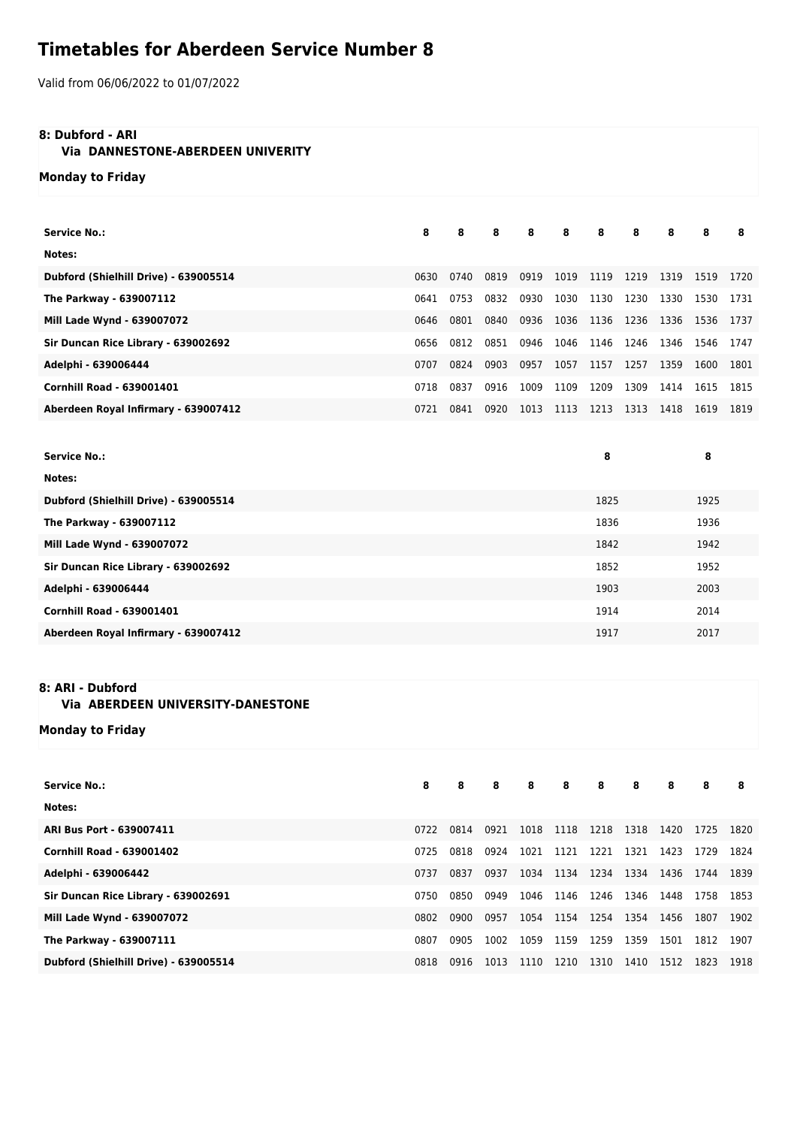# **Timetables for Aberdeen Service Number 8**

Valid from 06/06/2022 to 01/07/2022

### **8: Dubford - ARI**

## **Via DANNESTONE-ABERDEEN UNIVERITY**

**Monday to Friday**

| <b>Service No.:</b>                   | 8    | 8    | 8    | 8    | 8    | 8    | 8    | 8    | 8    | 8    |
|---------------------------------------|------|------|------|------|------|------|------|------|------|------|
| Notes:                                |      |      |      |      |      |      |      |      |      |      |
| Dubford (Shielhill Drive) - 639005514 | 0630 | 0740 | 0819 | 0919 | 1019 | 1119 | 1219 | 1319 | 1519 | 1720 |
| The Parkway - 639007112               | 0641 | 0753 | 0832 | 0930 | 1030 | 1130 | 1230 | 1330 | 1530 | 1731 |
| Mill Lade Wynd - 639007072            | 0646 | 0801 | 0840 | 0936 | 1036 | 1136 | 1236 | 1336 | 1536 | 1737 |
| Sir Duncan Rice Library - 639002692   | 0656 | 0812 | 0851 | 0946 | 1046 | 1146 | 1246 | 1346 | 1546 | 1747 |
| Adelphi - 639006444                   | 0707 | 0824 | 0903 | 0957 | 1057 | 1157 | 1257 | 1359 | 1600 | 1801 |
| <b>Cornhill Road - 639001401</b>      | 0718 | 0837 | 0916 | 1009 | 1109 | 1209 | 1309 | 1414 | 1615 | 1815 |
| Aberdeen Royal Infirmary - 639007412  | 0721 | 0841 | 0920 | 1013 | 1113 | 1213 | 1313 | 1418 | 1619 | 1819 |
|                                       |      |      |      |      |      |      |      |      |      |      |

| <b>Service No.:</b>                   | 8    | 8    |
|---------------------------------------|------|------|
| Notes:                                |      |      |
| Dubford (Shielhill Drive) - 639005514 | 1825 | 1925 |
| The Parkway - 639007112               | 1836 | 1936 |
| Mill Lade Wynd - 639007072            | 1842 | 1942 |
| Sir Duncan Rice Library - 639002692   | 1852 | 1952 |
| Adelphi - 639006444                   | 1903 | 2003 |
| <b>Cornhill Road - 639001401</b>      | 1914 | 2014 |
| Aberdeen Royal Infirmary - 639007412  | 1917 | 2017 |
|                                       |      |      |

## **8: ARI - Dubford**

### **Via ABERDEEN UNIVERSITY-DANESTONE**

**Monday to Friday**

| <b>Service No.:</b>                   | 8    | 8    | 8    | 8    | 8         | 8    | 8    | 8         | 8    | 8    |
|---------------------------------------|------|------|------|------|-----------|------|------|-----------|------|------|
| Notes:                                |      |      |      |      |           |      |      |           |      |      |
| ARI Bus Port - 639007411              | 0722 | 0814 | 0921 | 1018 | 1118 1218 |      | 1318 | 1420      | 1725 | 1820 |
| <b>Cornhill Road - 639001402</b>      | 0725 | 0818 | 0924 | 1021 | 1121 1221 |      | 1321 | 1423      | 1729 | 1824 |
| Adelphi - 639006442                   | 0737 | 0837 | 0937 | 1034 | 1134 1234 |      | 1334 | 1436      | 1744 | 1839 |
| Sir Duncan Rice Library - 639002691   | 0750 | 0850 | 0949 | 1046 | 1146 1246 |      | 1346 | 1448 1758 |      | 1853 |
| Mill Lade Wynd - 639007072            | 0802 | 0900 | 0957 | 1054 | 1154 1254 |      | 1354 | 1456      | 1807 | 1902 |
| The Parkway - 639007111               | 0807 | 0905 | 1002 | 1059 | 1159      | 1259 | 1359 | 1501      | 1812 | 1907 |
| Dubford (Shielhill Drive) - 639005514 | 0818 | 0916 | 1013 | 1110 | 1210      | 1310 | 1410 | 1512      | 1823 | 1918 |